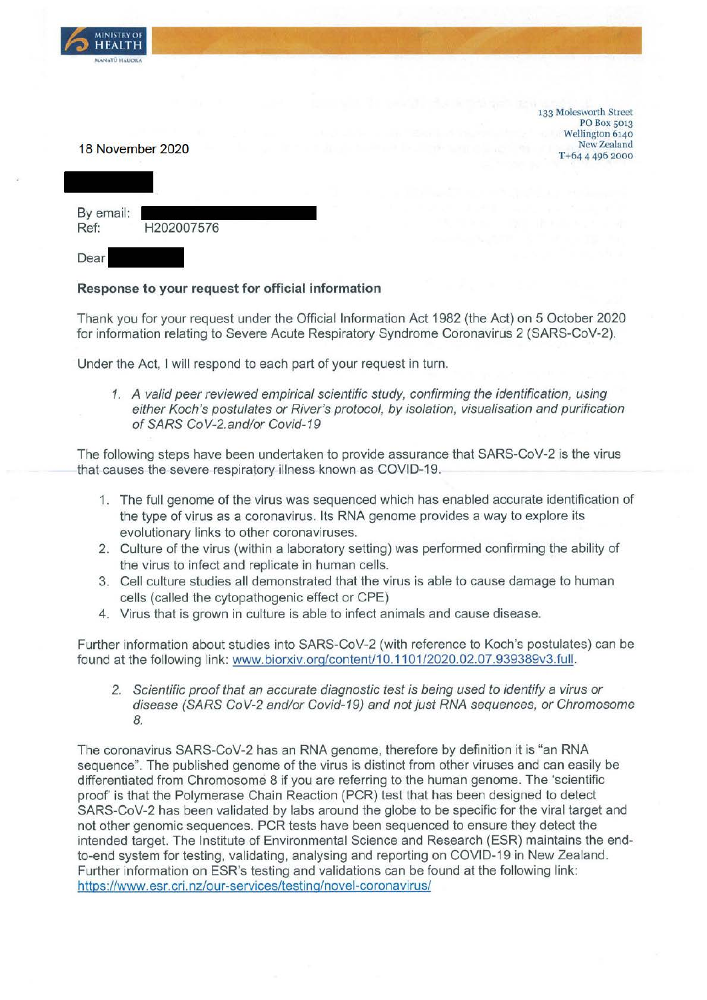

133 Molesworth Street PO Box 5013 Wellington 6140 New Zealand **T** +64 4 496 2000

#### 18 November 2020

| By email:<br>Ref: | H202007576 |
|-------------------|------------|
| Dear              |            |

#### **Response to your request for official information**

Thank you for your request under the Official Information Act 1982 (the Act) on 5 October 2020 for information relating to Severe Acute Respiratory Syndrome Coronavirus 2 (SARS-CoV-2).

Under the Act, I will respond to each part of your request in turn.

1. A valid peer reviewed empirical scientific study, confirming the identification, using either Koch's postulates or River's protocol, *by* isolation, visualisation and purification of SARS CoV-2.and/or Covid-19

The following steps have been undertaken to provide assurance that SARS-CoV-2 is the virus that causes the severe respiratory illness known as COVID-19.

- 1. The full genome of the virus was sequenced which has enabled accurate identification of the type of virus as a coronavirus. Its RNA genome provides a way to explore its evolutionary links to other coronaviruses.
- 2. Culture of the virus (within a laboratory setting) was performed confirming the ability of the virus to infect and replicate in human cells.
- 3. Cell culture studies all demonstrated that the virus is able to cause damage to human cells (called the cytopathogenic effect or CPE)
- 4. Virus that is grown in culture is able to infect animals and cause disease.

Further information about studies into SARS-CoV-2 (with reference to Koch's postulates) can be found at the following link: www.biorxiv.org/content/10.1101/2020.02.07.939389v3.full.

2. Scientific proof that an accurate diagnostic test is being used to identify a virus or disease (SARS CoV-2 and/or Covid-19) and not just RNA sequences, or Chromosome 8.

The coronavirus SARS-CoV-2 has an RNA genome, therefore by definition it is "an RNA sequence". The published genome of the virus is distinct from other viruses and can easily be differentiated from Chromosome 8 if you are referring to the human genome. The 'scientific proof' is that the Polymerase Chain Reaction (PCR) test that has been designed to detect SARS-CoV-2 has been validated by labs around the globe to be specific for the viral target and not other genomic sequences. PCR tests have been sequenced to ensure they detect the intended target. The Institute of Environmental Science and Research (ESR) maintains the endto-end system for testing, validating, analysing and reporting on COVID-19 in New Zealand. Further information on ESR's testing and validations can be found at the following link: https://www.esr.cri.nz/our-services/testing/novel-coronavirus/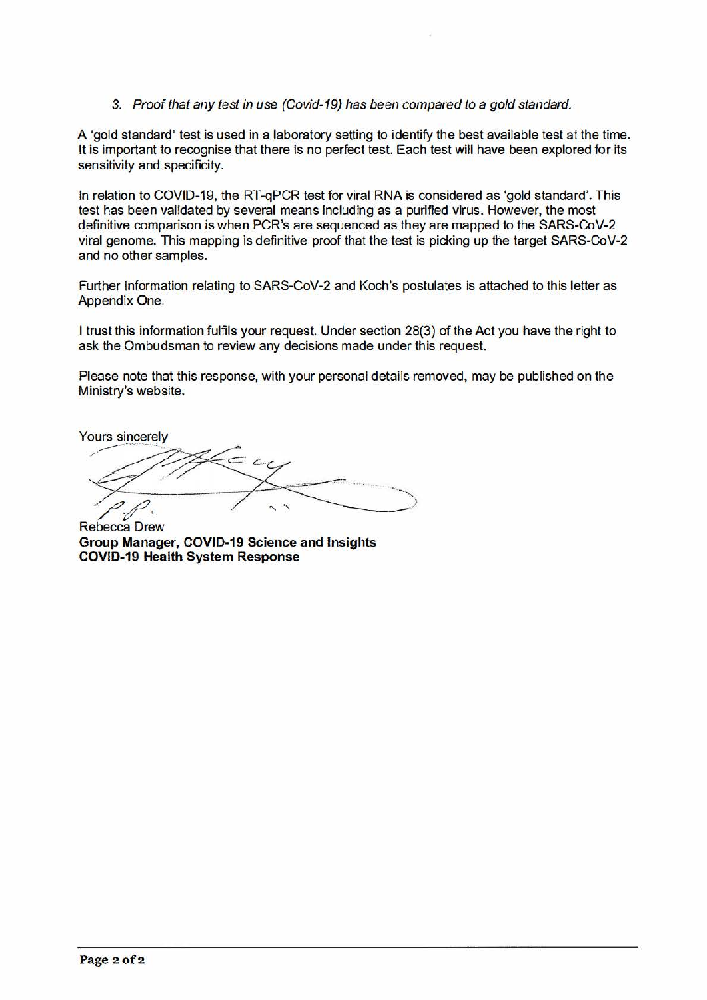3. Proof that any test in use (Covid-19) has been compared to a gold standard.

A 'gold standard' test is used in a laboratory setting to identify the best available test at the time. It is important to recognise that there is no perfect test. Each test will have been explored for its sensitivity and specificity.

In relation to COVID-19, the RT-qPCR test for viral RNA is considered as 'gold standard'. This test has been validated by several means including as a purified virus. However, the most definitive comparison is when PCR's are sequenced as they are mapped to the SARS-CoV-2 viral genome. This mapping is definitive proof that the test is picking up the target SARS-CoV-2 and no other samples.

Further information relating to SARS-CoV-2 and Koch's postulates is attached to this letter as Appendix One.

I trust this information fulfils your request. Under section 28(3) of the Act you have the right to ask the Ombudsman to review any decisions made under this request.

Please note that this response, with your personal details removed, may be published on the Ministry's website.

Yours sincerely<br>  $\overbrace{p \ p}$ 

Rebecca Drew **Group Manager, COVID-19 Science and Insights COVID-19 Health System Response**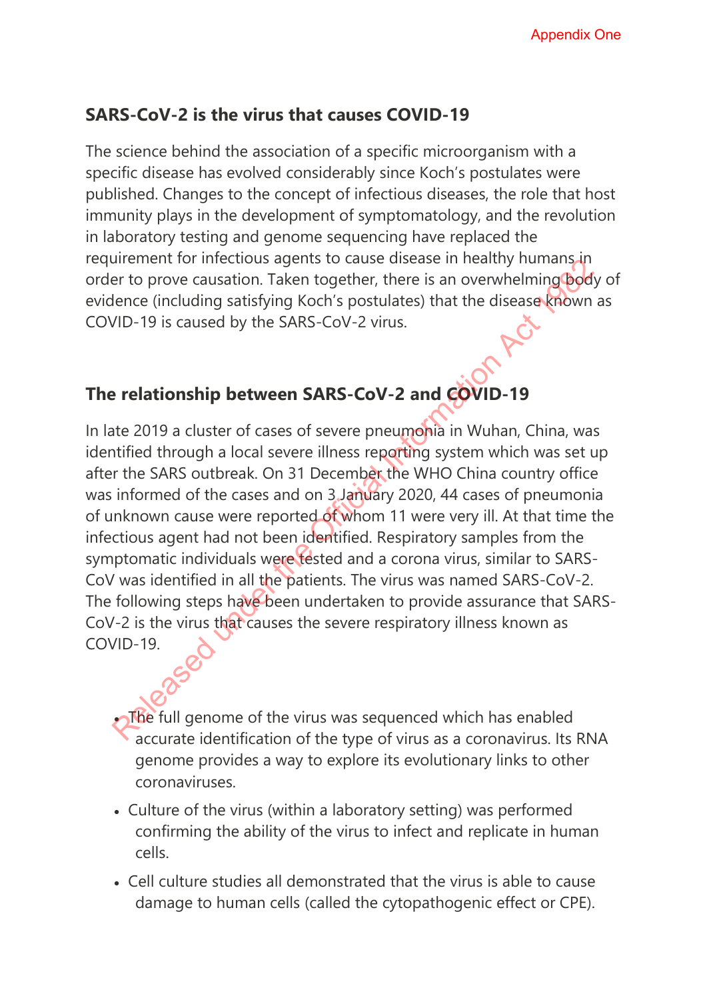## **SARS-CoV-2 is the virus that causes COVID-19**

The science behind the association of a specific microorganism with a specific disease has evolved considerably since Koch's postulates were published. Changes to the concept of infectious diseases, the role that host immunity plays in the development of symptomatology, and the revolution in laboratory testing and genome sequencing have replaced the requirement for infectious agents to cause disease in healthy humans in order to prove causation. Taken together, there is an overwhelming body of evidence (including satisfying Koch's postulates) that the disease known as COVID-19 is caused by the SARS-CoV-2 virus.

# **The relationship between SARS-CoV-2 and COVID-19**

In late 2019 a cluster of cases of severe pneumonia in Wuhan, China, was identified through a local severe illness reporting system which was set up after the SARS outbreak. On 31 December the WHO China country office was informed of the cases and on 3 January 2020, 44 cases of pneumonia of unknown cause were reported of whom 11 were very ill. At that time the infectious agent had not been identified. Respiratory samples from the symptomatic individuals were tested and a corona virus, similar to SARS-CoV was identified in all the patients. The virus was named SARS-CoV-2. The following steps have been undertaken to provide assurance that SARS-CoV-2 is the virus that causes the severe respiratory illness known as COVID-19. Appendix One<br>
Signic Correct Debit and Correct Correct Correct Correct Correct Correct Correct Correct Correct Correct Correct Correct Correct Correct Correct Correct Correct Correct Correct Correct Correct Correct Correct

The full genome of the virus was sequenced which has enabled accurate identification of the type of virus as a coronavirus. Its RNA genome provides a way to explore its evolutionary links to other coronaviruses.

- Culture of the virus (within a laboratory setting) was performed confirming the ability of the virus to infect and replicate in human cells.
- Cell culture studies all demonstrated that the virus is able to cause damage to human cells (called the cytopathogenic effect or CPE).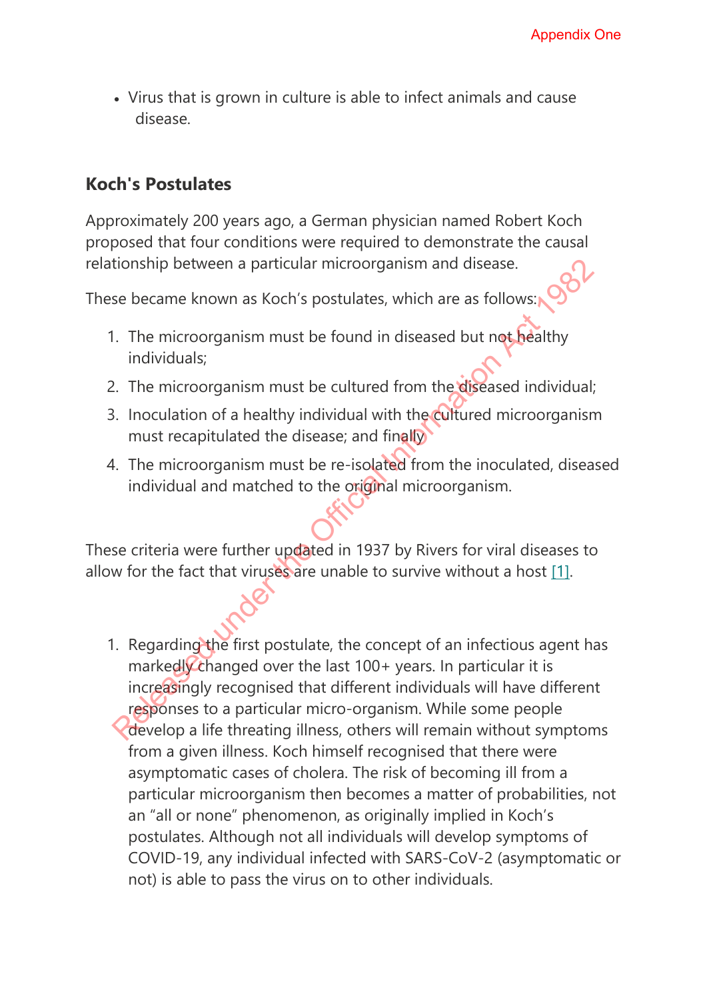• Virus that is grown in culture is able to infect animals and cause disease.

### **Koch's Postulates**

Approximately 200 years ago, a German physician named Robert Koch proposed that four conditions were required to demonstrate the causal relationship between a particular microorganism and disease.

These became known as Koch's postulates, which are as follows:

- 1. The microorganism must be found in diseased but not healthy individuals;
- 2. The microorganism must be cultured from the diseased individual;
- 3. Inoculation of a healthy individual with the cultured microorganism must recapitulated the disease; and finally
- 4. The microorganism must be re-isolated from the inoculated, diseased individual and matched to the original microorganism.

These criteria were further updated in 1937 by Rivers for viral diseases to allow for the fact that viruses are unable to survive without a host [1].

1. Regarding the first postulate, the concept of an infectious agent has markedly changed over the last 100+ years. In particular it is increasingly recognised that different individuals will have different responses to a particular micro-organism. While some people develop a life threating illness, others will remain without symptoms from a given illness. Koch himself recognised that there were asymptomatic cases of cholera. The risk of becoming ill from a particular microorganism then becomes a matter of probabilities, not an "all or none" phenomenon, as originally implied in Koch's postulates. Although not all individuals will develop symptoms of COVID-19, any individual infected with SARS-CoV-2 (asymptomatic or not) is able to pass the virus on to other individuals. **Appendix One**<br> **Release.**<br> **Release is the Official Information Act is able to infect animals and cause**<br> **Chick Sposed under the Official Information Act 1982 Apple is able to the Official Information Act 1982 Apple tha**